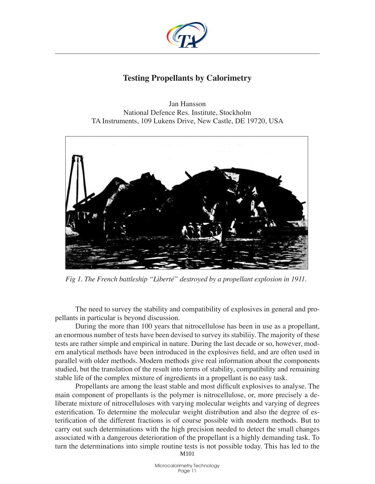

# **Testing Propellants by Calorimetry**

Jan Hansson National Defence Res. Institute, Stockholm TA Instruments, 109 Lukens Drive, New Castle, DE 19720, USA



*Fig 1. The French battleship "Liberté" destroyed by a propellant explosion in 1911.*

The need to survey the stability and compatibility of explosives in general and propellants in particular is beyond discussion.

During the more than 100 years that nitrocellulose has been in use as a propellant, an enormous number of tests have been devised to survey its stabiliiy. The majority of these tests are rather simple and empirical in nature. During the last decade or so, however, modern analytical methods have been introduced in the explosives field, and are often used in parallel with older methods. Modern methods give real information about the components studied, but the translation of the result into terms of stability, compatibility and remaining stable life of the complex mixture of ingredients in a propellant is no easy task.

Propellants are among the least stable and most difficult explosives to analyse. The main component of propellants is the polymer is nitrocellulose, or, more precisely a deliberate mixture of nitrocelluloses with varying molecular weights and varying of degrees esterification. To determine the molecular weight distribution and also the degree of esterification of the different fractions is of course possible with modern methods. But to carry out such determinations with the high precision needed to detect the small changes associated with a dangerous deterioration of the propellant is a highly demanding task. To turn the determinations into simple routine tests is not possible today. This has led to the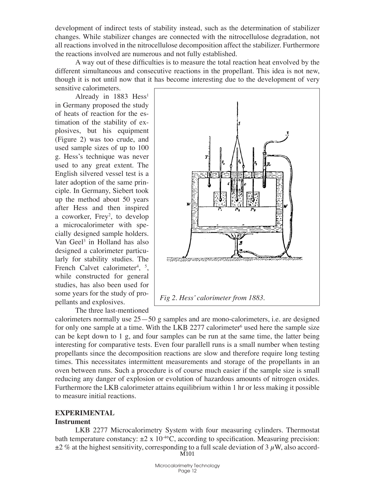development of indirect tests of stability instead, such as the determination of stabilizer changes. While stabilizer changes are connected with the nitrocellulose degradation, not all reactions involved in the nitrocellulose decomposition affect the stabilizer. Furthermore the reactions involved are numerous and not fully established.

A way out of these difficulties is to measure the total reaction heat envolved by the different simultaneous and consecutive reactions in the propellant. This idea is not new, though it is not until now that it has become interesting due to the development of very sensitive calorimeters.

Already in 1883 Hess<sup>1</sup> in Germany proposed the study of heats of reaction for the estimation of the stability of explosives, but his equipment (Figure 2) was too crude, and used sample sizes of up to 100 g. Hess's technique was never used to any great extent. The English silvered vessel test is a later adoption of the same principle. In Germany, Siebert took up the method about 50 years after Hess and then inspired a coworker, Frey<sup>2</sup>, to develop a microcalorimeter with specially designed sample holders. Van Geel<sup>3</sup> in Holland has also designed a calorimeter particularly for stability studies. The French Calvet calorimeter<sup>4</sup>,  $\frac{5}{7}$ , while constructed for general studies, has also been used for some years for the study of propellants and explosives.

The three last-mentioned



calorimeters normally use 25—50 g samples and are mono-calorimeters, i.e. are designed for only one sample at a time. With the LKB 2277 calorimeter<sup>6</sup> used here the sample size can be kept down to 1 g, and four samples can be run at the same time, the latter being interesting for comparative tests. Even four parallell runs is a small number when testing propellants since the decomposition reactions are slow and therefore require long testing times. This necessitates intermittent measurements and storage of the propellants in an oven between runs. Such a procedure is of course much easier if the sample size is small reducing any danger of explosion or evolution of hazardous amounts of nitrogen oxides. Furthermore the LKB calorimeter attains equilibrium within 1 hr or less making it possible to measure initial reactions.

## **Experimental**

## **Instrument**

LKB 2277 Microcalorimetry System with four measuring cylinders. Thermostat bath temperature constancy:  $\pm 2 \times 10^{40}$ C, according to specification. Measuring precision:  $\pm 2\%$  at the highest sensitivity, corresponding to a full scale deviation of 3  $\mu$ W, also accord-M<sub>101</sub>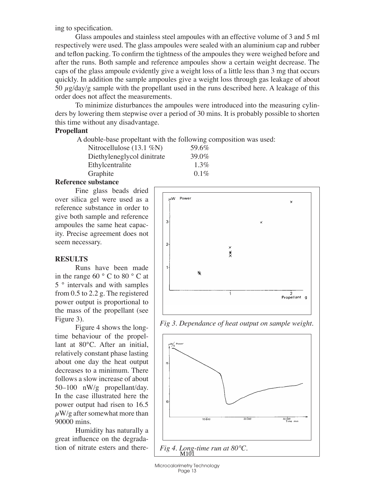ing to specification.

Glass ampoules and stainless steel ampoules with an effective volume of 3 and 5 ml respectively were used. The glass ampoules were sealed with an aluminium cap and rubber and teflon packing. To confirm the tightness of the ampoules they were weighed before and after the runs. Both sample and reference ampoules show a certain weight decrease. The caps of the glass ampoule evidently give a weight loss of a little less than 3 mg that occurs quickly. In addition the sample ampoules give a weight loss through gas leakage of about 50  $\mu$ g/day/g sample with the propellant used in the runs described here. A leakage of this order does not affect the measurements.

To minimize disturbances the ampoules were introduced into the measuring cylinders by lowering them stepwise over a period of 30 mins. It is probably possible to shorten this time without any disadvantage.

#### **Propellant**

A double-base propeltant with the following composition was used:

| Nitrocellulose $(13.1\%N)$ | 59.6%   |
|----------------------------|---------|
| Diethyleneglycol dinitrate | 39.0%   |
| Ethylcentralite            | $1.3\%$ |
| Graphite                   | $0.1\%$ |

#### **Reference substance**

Fine glass beads dried over silica gel were used as a reference substance in order to give both sample and reference ampoules the same heat capacity. Precise agreement does not seem necessary.

#### **Results**

Runs have been made in the range 60 ° C to 80 ° C at 5 ° intervals and with samples from 0.5 to 2.2 g. The registered power output is proportional to the mass of the propellant (see Figure 3).

Figure 4 shows the longtime behaviour of the propellant at 80°C. After an initial, relatively constant phase lasting about one day the heat output decreases to a minimum. There follows a slow increase of about 50–100 nW/g propellant/day. In the case illustrated here the power output had risen to 16.5  $\mu$ W/g after somewhat more than 90000 mins.

Humidity has naturally a great influence on the degradation of nitrate esters and there-





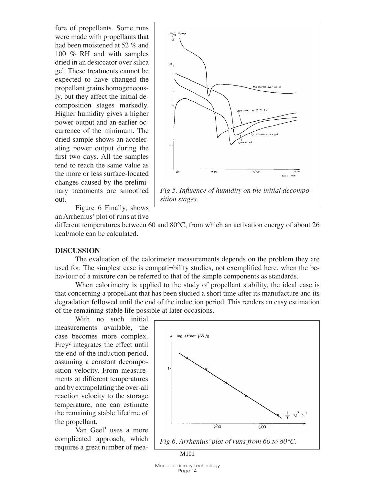fore of propellants. Some runs were made with propellants that had been moistened at 52 % and 100 % RH and with samples dried in an desiccator over silica gel. These treatments cannot be expected to have changed the propellant grains homogeneously, but they affect the initial decomposition stages markedly. Higher humidity gives a higher power output and an earlier occurrence of the minimum. The dried sample shows an accelerating power output during the first two days. All the samples tend to reach the same value as the more or less surface-located changes caused by the preliminary treatments are smoothed out.



Figure 6 Finally, shows an Arrhenius' plot of runs at five

different temperatures between 60 and 80°C, from which an activation energy of about 26 kcal/mole can be calculated.

#### **Discussion**

The evaluation of the calorimeter measurements depends on the problem they are used for. The simplest case is compati-bility studies, not exemplified here, when the behaviour of a mixture can be referred to that of the simple components as standards.

When calorimetry is applied to the study of propellant stability, the ideal case is that concerning a propellant that has been studied a short time after its manufacture and its degradation followed until the end of the induction period. This renders an easy estimation of the remaining stable life possible at later occasions.

With no such initial measurements available, the case becomes more complex. Frey<sup>2</sup> integrates the effect until the end of the induction period, assuming a constant decomposition velocity. From measurements at different temperatures and by extrapolating the over-all reaction velocity to the storage temperature, one can estimate the remaining stable lifetime of the propellant.

Van Geel<sup>3</sup> uses a more complicated approach, which requires a great number of mea-